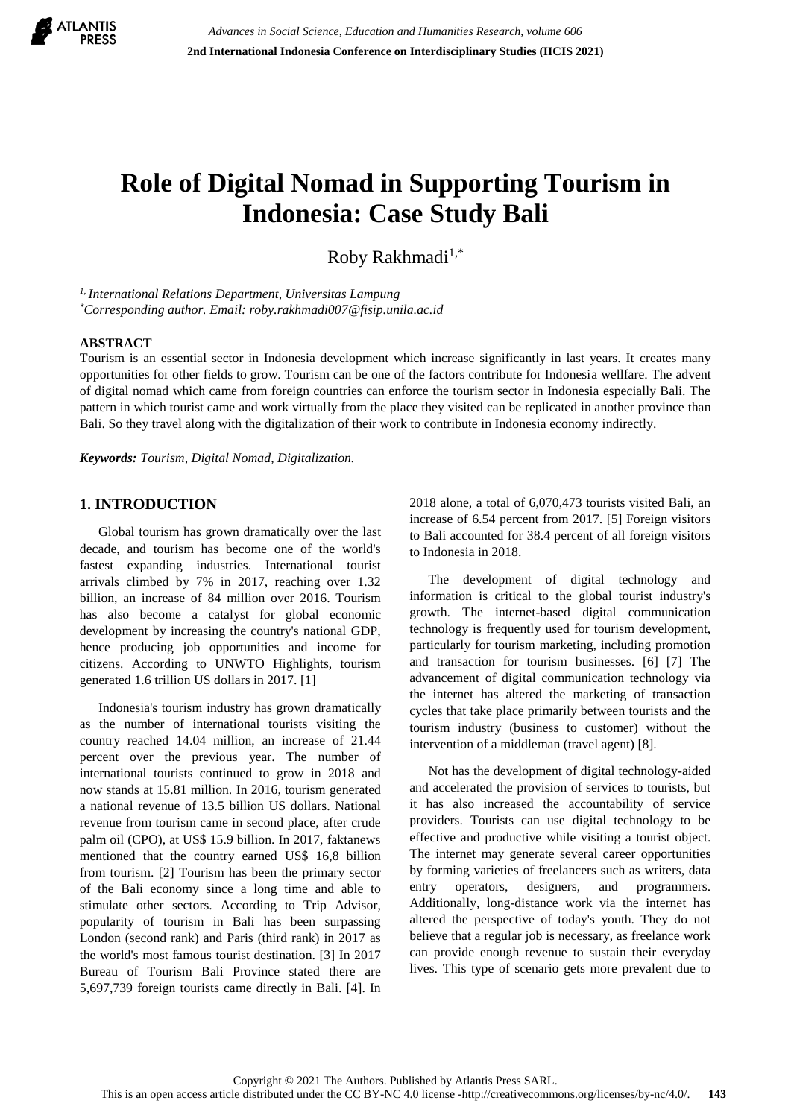

# **Role of Digital Nomad in Supporting Tourism in Indonesia: Case Study Bali**

Roby Rakhmadi<sup>1,\*</sup>

*1, International Relations Department, Universitas Lampung \*Corresponding author. Email: roby.rakhmadi007@fisip.unila.ac.id*

## **ABSTRACT**

Tourism is an essential sector in Indonesia development which increase significantly in last years. It creates many opportunities for other fields to grow. Tourism can be one of the factors contribute for Indonesia wellfare. The advent of digital nomad which came from foreign countries can enforce the tourism sector in Indonesia especially Bali. The pattern in which tourist came and work virtually from the place they visited can be replicated in another province than Bali. So they travel along with the digitalization of their work to contribute in Indonesia economy indirectly.

*Keywords: Tourism, Digital Nomad, Digitalization.*

# **1. INTRODUCTION**

Global tourism has grown dramatically over the last decade, and tourism has become one of the world's fastest expanding industries. International tourist arrivals climbed by 7% in 2017, reaching over 1.32 billion, an increase of 84 million over 2016. Tourism has also become a catalyst for global economic development by increasing the country's national GDP, hence producing job opportunities and income for citizens. According to UNWTO Highlights, tourism generated 1.6 trillion US dollars in 2017. [1]

Indonesia's tourism industry has grown dramatically as the number of international tourists visiting the country reached 14.04 million, an increase of 21.44 percent over the previous year. The number of international tourists continued to grow in 2018 and now stands at 15.81 million. In 2016, tourism generated a national revenue of 13.5 billion US dollars. National revenue from tourism came in second place, after crude palm oil (CPO), at US\$ 15.9 billion. In 2017, faktanews mentioned that the country earned US\$ 16,8 billion from tourism. [2] Tourism has been the primary sector of the Bali economy since a long time and able to stimulate other sectors. According to Trip Advisor, popularity of tourism in Bali has been surpassing London (second rank) and Paris (third rank) in 2017 as the world's most famous tourist destination. [3] In 2017 Bureau of Tourism Bali Province stated there are 5,697,739 foreign tourists came directly in Bali. [4]. In

2018 alone, a total of 6,070,473 tourists visited Bali, an increase of 6.54 percent from 2017. [5] Foreign visitors to Bali accounted for 38.4 percent of all foreign visitors to Indonesia in 2018.

The development of digital technology and information is critical to the global tourist industry's growth. The internet-based digital communication technology is frequently used for tourism development, particularly for tourism marketing, including promotion and transaction for tourism businesses. [6] [7] The advancement of digital communication technology via the internet has altered the marketing of transaction cycles that take place primarily between tourists and the tourism industry (business to customer) without the intervention of a middleman (travel agent) [8].

Not has the development of digital technology-aided and accelerated the provision of services to tourists, but it has also increased the accountability of service providers. Tourists can use digital technology to be effective and productive while visiting a tourist object. The internet may generate several career opportunities by forming varieties of freelancers such as writers, data entry operators, designers, and programmers. Additionally, long-distance work via the internet has altered the perspective of today's youth. They do not believe that a regular job is necessary, as freelance work can provide enough revenue to sustain their everyday lives. This type of scenario gets more prevalent due to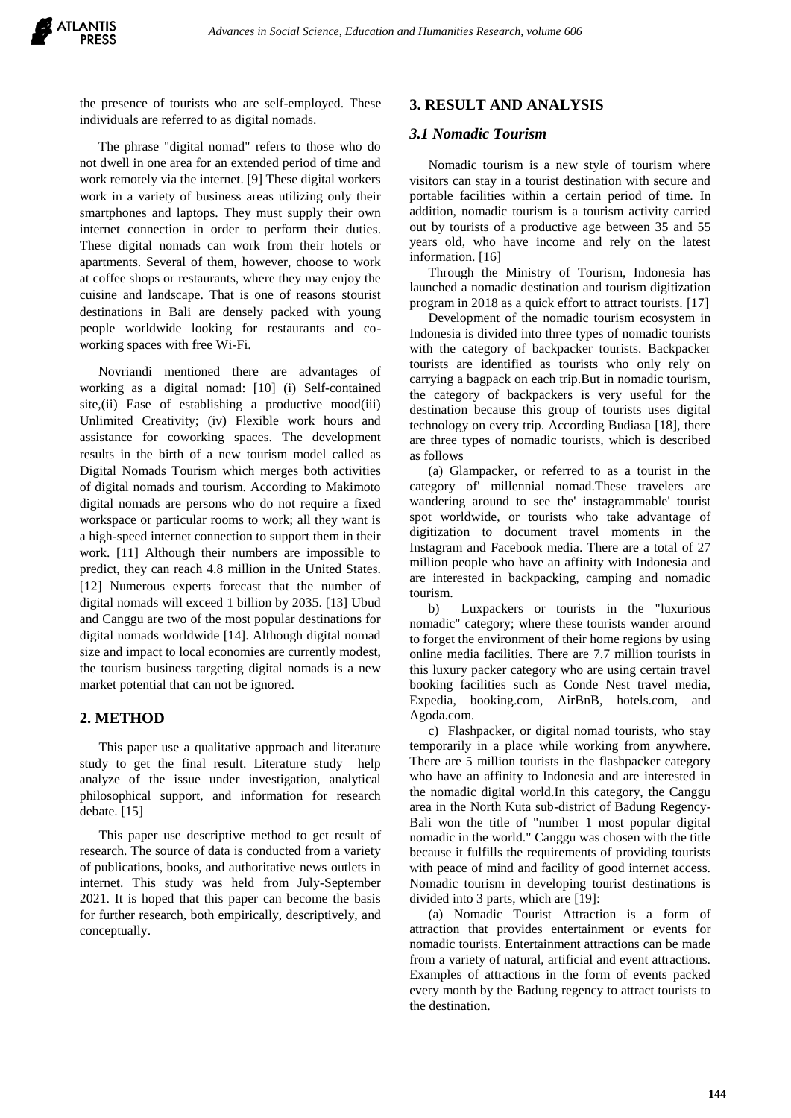the presence of tourists who are self-employed. These individuals are referred to as digital nomads.

The phrase "digital nomad" refers to those who do not dwell in one area for an extended period of time and work remotely via the internet. [9] These digital workers work in a variety of business areas utilizing only their smartphones and laptops. They must supply their own internet connection in order to perform their duties. These digital nomads can work from their hotels or apartments. Several of them, however, choose to work at coffee shops or restaurants, where they may enjoy the cuisine and landscape. That is one of reasons stourist destinations in Bali are densely packed with young people worldwide looking for restaurants and coworking spaces with free Wi-Fi.

Novriandi mentioned there are advantages of working as a digital nomad: [10] (i) Self-contained site,(ii) Ease of establishing a productive mood(iii) Unlimited Creativity; (iv) Flexible work hours and assistance for coworking spaces. The development results in the birth of a new tourism model called as Digital Nomads Tourism which merges both activities of digital nomads and tourism. According to Makimoto digital nomads are persons who do not require a fixed workspace or particular rooms to work; all they want is a high-speed internet connection to support them in their work. [11] Although their numbers are impossible to predict, they can reach 4.8 million in the United States. [12] Numerous experts forecast that the number of digital nomads will exceed 1 billion by 2035. [13] Ubud and Canggu are two of the most popular destinations for digital nomads worldwide [14]. Although digital nomad size and impact to local economies are currently modest, the tourism business targeting digital nomads is a new market potential that can not be ignored.

## **2. METHOD**

This paper use a qualitative approach and literature study to get the final result. Literature study help analyze of the issue under investigation, analytical philosophical support, and information for research debate. [15]

This paper use descriptive method to get result of research. The source of data is conducted from a variety of publications, books, and authoritative news outlets in internet. This study was held from July-September 2021. It is hoped that this paper can become the basis for further research, both empirically, descriptively, and conceptually.

#### **3. RESULT AND ANALYSIS**

## *3.1 Nomadic Tourism*

Nomadic tourism is a new style of tourism where visitors can stay in a tourist destination with secure and portable facilities within a certain period of time. In addition, nomadic tourism is a tourism activity carried out by tourists of a productive age between 35 and 55 years old, who have income and rely on the latest information. [16]

Through the Ministry of Tourism, Indonesia has launched a nomadic destination and tourism digitization program in 2018 as a quick effort to attract tourists. [17]

Development of the nomadic tourism ecosystem in Indonesia is divided into three types of nomadic tourists with the category of backpacker tourists. Backpacker tourists are identified as tourists who only rely on carrying a bagpack on each trip.But in nomadic tourism, the category of backpackers is very useful for the destination because this group of tourists uses digital technology on every trip. According Budiasa [18], there are three types of nomadic tourists, which is described as follows

(a) Glampacker, or referred to as a tourist in the category of' millennial nomad.These travelers are wandering around to see the' instagrammable' tourist spot worldwide, or tourists who take advantage of digitization to document travel moments in the Instagram and Facebook media. There are a total of 27 million people who have an affinity with Indonesia and are interested in backpacking, camping and nomadic tourism.

b) Luxpackers or tourists in the "luxurious nomadic" category; where these tourists wander around to forget the environment of their home regions by using online media facilities. There are 7.7 million tourists in this luxury packer category who are using certain travel booking facilities such as Conde Nest travel media, Expedia, booking.com, AirBnB, hotels.com, and Agoda.com.

c) Flashpacker, or digital nomad tourists, who stay temporarily in a place while working from anywhere. There are 5 million tourists in the flashpacker category who have an affinity to Indonesia and are interested in the nomadic digital world.In this category, the Canggu area in the North Kuta sub-district of Badung Regency-Bali won the title of "number 1 most popular digital nomadic in the world." Canggu was chosen with the title because it fulfills the requirements of providing tourists with peace of mind and facility of good internet access. Nomadic tourism in developing tourist destinations is divided into 3 parts, which are [19]:

(a) Nomadic Tourist Attraction is a form of attraction that provides entertainment or events for nomadic tourists. Entertainment attractions can be made from a variety of natural, artificial and event attractions. Examples of attractions in the form of events packed every month by the Badung regency to attract tourists to the destination.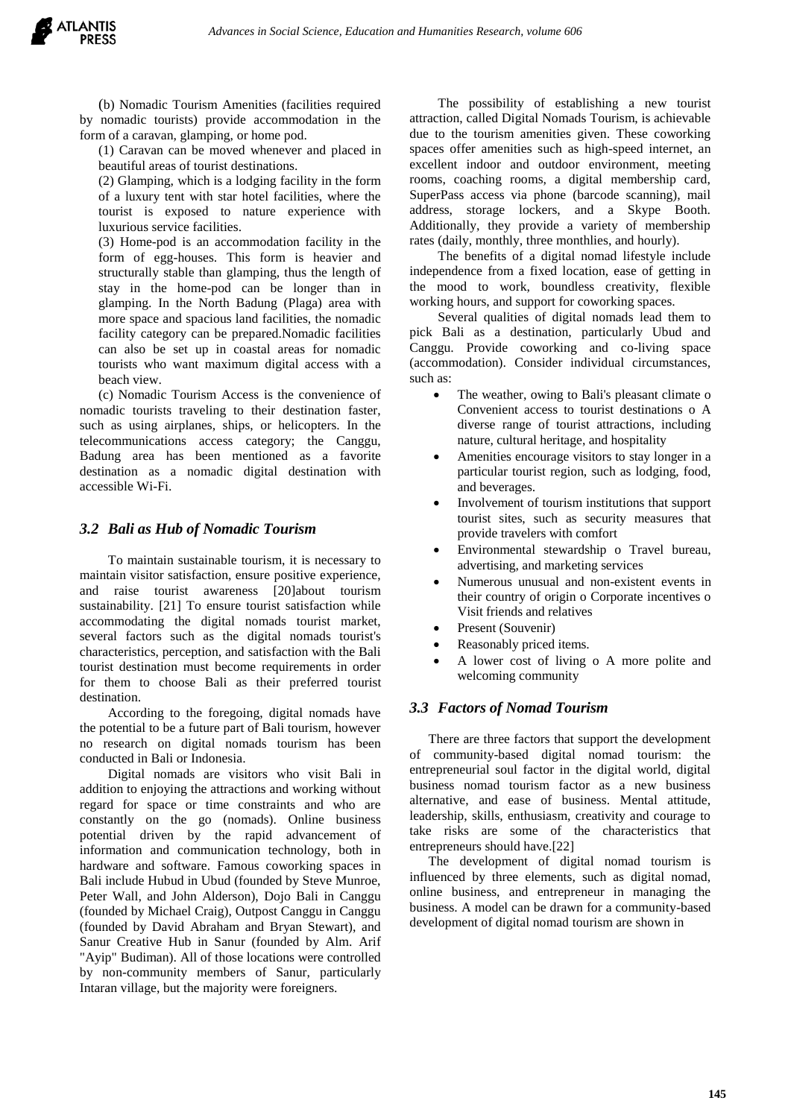(b) Nomadic Tourism Amenities (facilities required by nomadic tourists) provide accommodation in the form of a caravan, glamping, or home pod.

(1) Caravan can be moved whenever and placed in beautiful areas of tourist destinations.

(2) Glamping, which is a lodging facility in the form of a luxury tent with star hotel facilities, where the tourist is exposed to nature experience with luxurious service facilities.

(3) Home-pod is an accommodation facility in the form of egg-houses. This form is heavier and structurally stable than glamping, thus the length of stay in the home-pod can be longer than in glamping. In the North Badung (Plaga) area with more space and spacious land facilities, the nomadic facility category can be prepared.Nomadic facilities can also be set up in coastal areas for nomadic tourists who want maximum digital access with a beach view.

(c) Nomadic Tourism Access is the convenience of nomadic tourists traveling to their destination faster, such as using airplanes, ships, or helicopters. In the telecommunications access category; the Canggu, Badung area has been mentioned as a favorite destination as a nomadic digital destination with accessible Wi-Fi.

## *3.2 Bali as Hub of Nomadic Tourism*

To maintain sustainable tourism, it is necessary to maintain visitor satisfaction, ensure positive experience, and raise tourist awareness [20]about tourism sustainability. [21] To ensure tourist satisfaction while accommodating the digital nomads tourist market, several factors such as the digital nomads tourist's characteristics, perception, and satisfaction with the Bali tourist destination must become requirements in order for them to choose Bali as their preferred tourist destination.

According to the foregoing, digital nomads have the potential to be a future part of Bali tourism, however no research on digital nomads tourism has been conducted in Bali or Indonesia.

Digital nomads are visitors who visit Bali in addition to enjoying the attractions and working without regard for space or time constraints and who are constantly on the go (nomads). Online business potential driven by the rapid advancement of information and communication technology, both in hardware and software. Famous coworking spaces in Bali include Hubud in Ubud (founded by Steve Munroe, Peter Wall, and John Alderson), Dojo Bali in Canggu (founded by Michael Craig), Outpost Canggu in Canggu (founded by David Abraham and Bryan Stewart), and Sanur Creative Hub in Sanur (founded by Alm. Arif "Ayip" Budiman). All of those locations were controlled by non-community members of Sanur, particularly Intaran village, but the majority were foreigners.

The possibility of establishing a new tourist attraction, called Digital Nomads Tourism, is achievable due to the tourism amenities given. These coworking spaces offer amenities such as high-speed internet, an excellent indoor and outdoor environment, meeting rooms, coaching rooms, a digital membership card, SuperPass access via phone (barcode scanning), mail address, storage lockers, and a Skype Booth. Additionally, they provide a variety of membership rates (daily, monthly, three monthlies, and hourly).

The benefits of a digital nomad lifestyle include independence from a fixed location, ease of getting in the mood to work, boundless creativity, flexible working hours, and support for coworking spaces.

Several qualities of digital nomads lead them to pick Bali as a destination, particularly Ubud and Canggu. Provide coworking and co-living space (accommodation). Consider individual circumstances, such as:

- The weather, owing to Bali's pleasant climate o Convenient access to tourist destinations o A diverse range of tourist attractions, including nature, cultural heritage, and hospitality
- Amenities encourage visitors to stay longer in a particular tourist region, such as lodging, food, and beverages.
- Involvement of tourism institutions that support tourist sites, such as security measures that provide travelers with comfort
- Environmental stewardship o Travel bureau, advertising, and marketing services
- Numerous unusual and non-existent events in their country of origin o Corporate incentives o Visit friends and relatives
- Present (Souvenir)
- Reasonably priced items.
- A lower cost of living o A more polite and welcoming community

## *3.3 Factors of Nomad Tourism*

There are three factors that support the development of community-based digital nomad tourism: the entrepreneurial soul factor in the digital world, digital business nomad tourism factor as a new business alternative, and ease of business. Mental attitude, leadership, skills, enthusiasm, creativity and courage to take risks are some of the characteristics that entrepreneurs should have.[22]

The development of digital nomad tourism is influenced by three elements, such as digital nomad, online business, and entrepreneur in managing the business. A model can be drawn for a community-based development of digital nomad tourism are shown in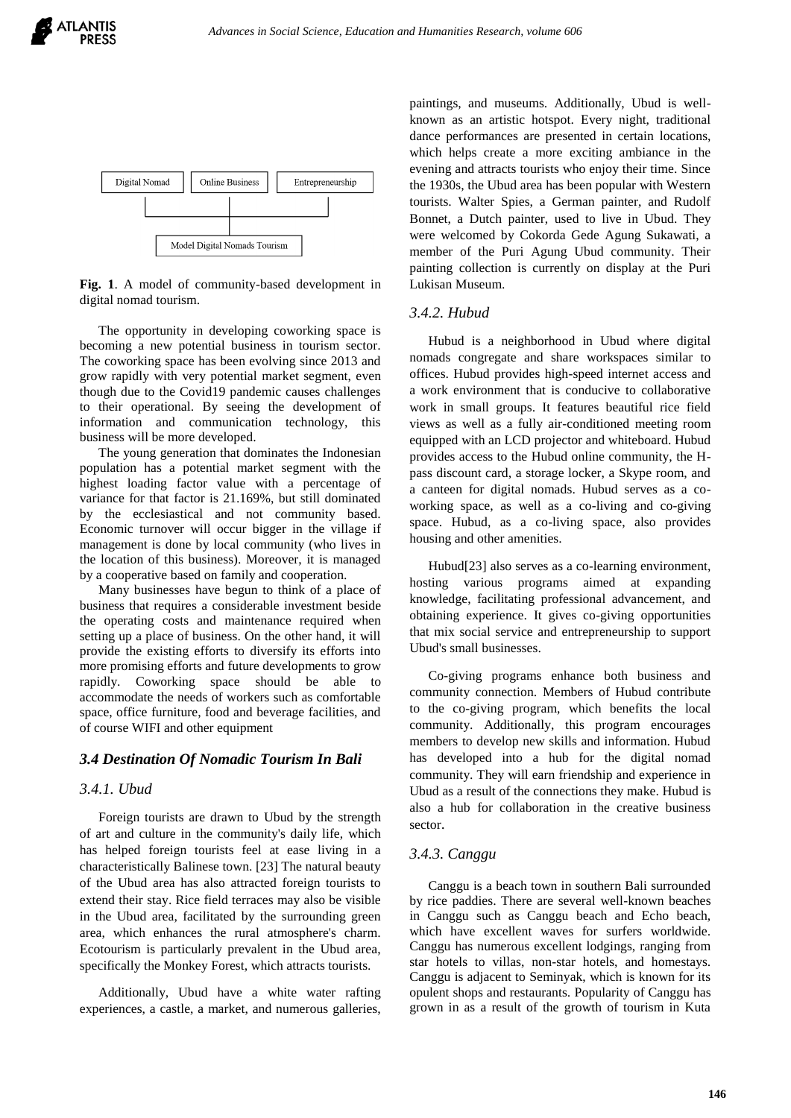



**Fig. 1**. A model of community-based development in digital nomad tourism.

The opportunity in developing coworking space is becoming a new potential business in tourism sector. The coworking space has been evolving since 2013 and grow rapidly with very potential market segment, even though due to the Covid19 pandemic causes challenges to their operational. By seeing the development of information and communication technology, this business will be more developed.

The young generation that dominates the Indonesian population has a potential market segment with the highest loading factor value with a percentage of variance for that factor is 21.169%, but still dominated by the ecclesiastical and not community based. Economic turnover will occur bigger in the village if management is done by local community (who lives in the location of this business). Moreover, it is managed by a cooperative based on family and cooperation.

Many businesses have begun to think of a place of business that requires a considerable investment beside the operating costs and maintenance required when setting up a place of business. On the other hand, it will provide the existing efforts to diversify its efforts into more promising efforts and future developments to grow rapidly. Coworking space should be able to accommodate the needs of workers such as comfortable space, office furniture, food and beverage facilities, and of course WIFI and other equipment

#### *3.4 Destination Of Nomadic Tourism In Bali*

#### *3.4.1. Ubud*

Foreign tourists are drawn to Ubud by the strength of art and culture in the community's daily life, which has helped foreign tourists feel at ease living in a characteristically Balinese town. [23] The natural beauty of the Ubud area has also attracted foreign tourists to extend their stay. Rice field terraces may also be visible in the Ubud area, facilitated by the surrounding green area, which enhances the rural atmosphere's charm. Ecotourism is particularly prevalent in the Ubud area, specifically the Monkey Forest, which attracts tourists.

Additionally, Ubud have a white water rafting experiences, a castle, a market, and numerous galleries,

paintings, and museums. Additionally, Ubud is wellknown as an artistic hotspot. Every night, traditional dance performances are presented in certain locations, which helps create a more exciting ambiance in the evening and attracts tourists who enjoy their time. Since the 1930s, the Ubud area has been popular with Western tourists. Walter Spies, a German painter, and Rudolf Bonnet, a Dutch painter, used to live in Ubud. They were welcomed by Cokorda Gede Agung Sukawati, a member of the Puri Agung Ubud community. Their painting collection is currently on display at the Puri Lukisan Museum.

# *3.4.2. Hubud*

Hubud is a neighborhood in Ubud where digital nomads congregate and share workspaces similar to offices. Hubud provides high-speed internet access and a work environment that is conducive to collaborative work in small groups. It features beautiful rice field views as well as a fully air-conditioned meeting room equipped with an LCD projector and whiteboard. Hubud provides access to the Hubud online community, the Hpass discount card, a storage locker, a Skype room, and a canteen for digital nomads. Hubud serves as a coworking space, as well as a co-living and co-giving space. Hubud, as a co-living space, also provides housing and other amenities.

Hubud[23] also serves as a co-learning environment, hosting various programs aimed at expanding knowledge, facilitating professional advancement, and obtaining experience. It gives co-giving opportunities that mix social service and entrepreneurship to support Ubud's small businesses.

Co-giving programs enhance both business and community connection. Members of Hubud contribute to the co-giving program, which benefits the local community. Additionally, this program encourages members to develop new skills and information. Hubud has developed into a hub for the digital nomad community. They will earn friendship and experience in Ubud as a result of the connections they make. Hubud is also a hub for collaboration in the creative business sector.

#### *3.4.3. Canggu*

Canggu is a beach town in southern Bali surrounded by rice paddies. There are several well-known beaches in Canggu such as Canggu beach and Echo beach, which have excellent waves for surfers worldwide. Canggu has numerous excellent lodgings, ranging from star hotels to villas, non-star hotels, and homestays. Canggu is adjacent to Seminyak, which is known for its opulent shops and restaurants. Popularity of Canggu has grown in as a result of the growth of tourism in Kuta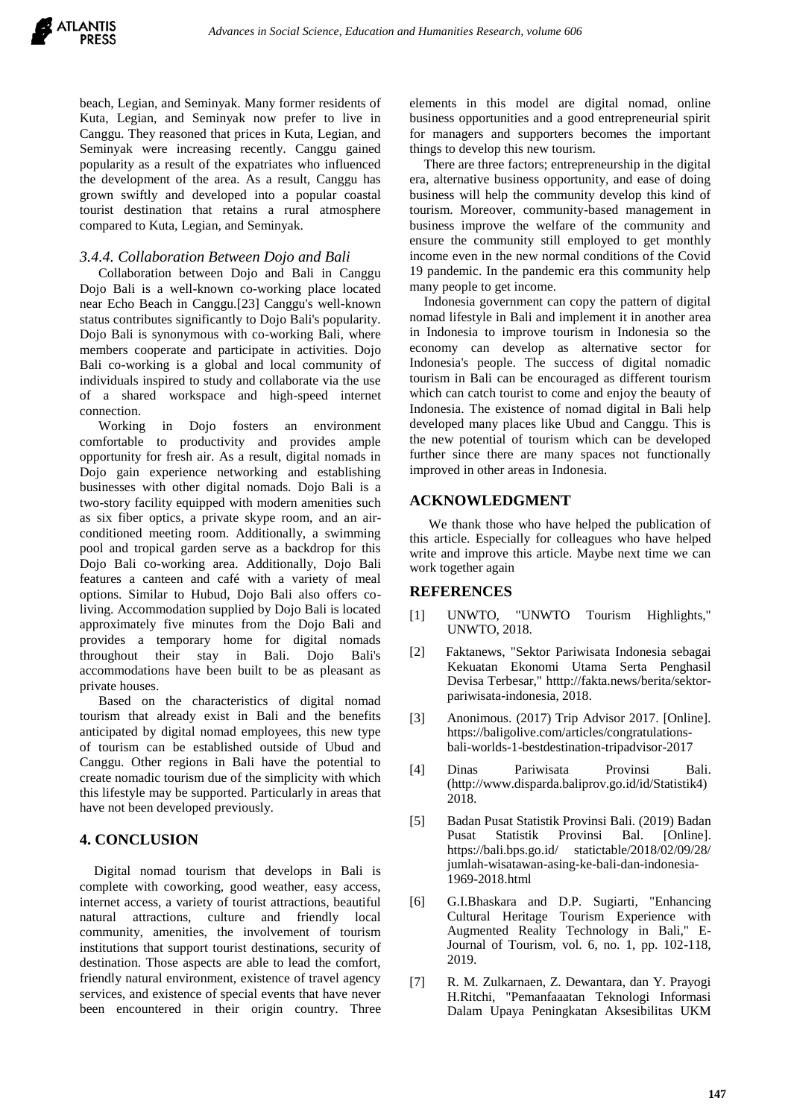beach, Legian, and Seminyak. Many former residents of Kuta, Legian, and Seminyak now prefer to live in Canggu. They reasoned that prices in Kuta, Legian, and Seminyak were increasing recently. Canggu gained popularity as a result of the expatriates who influenced the development of the area. As a result, Canggu has grown swiftly and developed into a popular coastal tourist destination that retains a rural atmosphere compared to Kuta, Legian, and Seminyak.

## *3.4.4. Collaboration Between Dojo and Bali*

Collaboration between Dojo and Bali in Canggu Dojo Bali is a well-known co-working place located near Echo Beach in Canggu.[23] Canggu's well-known status contributes significantly to Dojo Bali's popularity. Dojo Bali is synonymous with co-working Bali, where members cooperate and participate in activities. Dojo Bali co-working is a global and local community of individuals inspired to study and collaborate via the use of a shared workspace and high-speed internet connection.

Working in Dojo fosters an environment comfortable to productivity and provides ample opportunity for fresh air. As a result, digital nomads in Dojo gain experience networking and establishing businesses with other digital nomads. Dojo Bali is a two-story facility equipped with modern amenities such as six fiber optics, a private skype room, and an airconditioned meeting room. Additionally, a swimming pool and tropical garden serve as a backdrop for this Dojo Bali co-working area. Additionally, Dojo Bali features a canteen and café with a variety of meal options. Similar to Hubud, Dojo Bali also offers coliving. Accommodation supplied by Dojo Bali is located approximately five minutes from the Dojo Bali and provides a temporary home for digital nomads throughout their stay in Bali. Dojo Bali's accommodations have been built to be as pleasant as private houses.

Based on the characteristics of digital nomad tourism that already exist in Bali and the benefits anticipated by digital nomad employees, this new type of tourism can be established outside of Ubud and Canggu. Other regions in Bali have the potential to create nomadic tourism due of the simplicity with which this lifestyle may be supported. Particularly in areas that have not been developed previously.

# **4. CONCLUSION**

Digital nomad tourism that develops in Bali is complete with coworking, good weather, easy access, internet access, a variety of tourist attractions, beautiful natural attractions, culture and friendly local community, amenities, the involvement of tourism institutions that support tourist destinations, security of destination. Those aspects are able to lead the comfort, friendly natural environment, existence of travel agency services, and existence of special events that have never been encountered in their origin country. Three elements in this model are digital nomad, online business opportunities and a good entrepreneurial spirit for managers and supporters becomes the important things to develop this new tourism.

There are three factors; entrepreneurship in the digital era, alternative business opportunity, and ease of doing business will help the community develop this kind of tourism. Moreover, community-based management in business improve the welfare of the community and ensure the community still employed to get monthly income even in the new normal conditions of the Covid 19 pandemic. In the pandemic era this community help many people to get income.

Indonesia government can copy the pattern of digital nomad lifestyle in Bali and implement it in another area in Indonesia to improve tourism in Indonesia so the economy can develop as alternative sector for Indonesia's people. The success of digital nomadic tourism in Bali can be encouraged as different tourism which can catch tourist to come and enjoy the beauty of Indonesia. The existence of nomad digital in Bali help developed many places like Ubud and Canggu. This is the new potential of tourism which can be developed further since there are many spaces not functionally improved in other areas in Indonesia.

# **ACKNOWLEDGMENT**

We thank those who have helped the publication of this article. Especially for colleagues who have helped write and improve this article. Maybe next time we can work together again

# **REFERENCES**

- [1] UNWTO, "UNWTO Tourism Highlights," UNWTO, 2018.
- [2] Faktanews, "Sektor Pariwisata Indonesia sebagai Kekuatan Ekonomi Utama Serta Penghasil Devisa Terbesar," htttp://fakta.news/berita/sektorpariwisata-indonesia, 2018.
- [3] Anonimous. (2017) Trip Advisor 2017. [Online]. https://baligolive.com/articles/congratulationsbali-worlds-1-bestdestination-tripadvisor-2017
- [4] Dinas Pariwisata Provinsi Bali. (http://www.disparda.baliprov.go.id/id/Statistik4) 2018.
- [5] Badan Pusat Statistik Provinsi Bali. (2019) Badan Pusat Statistik Provinsi Bal. [Online]. https://bali.bps.go.id/ statictable/2018/02/09/28/ jumlah-wisatawan-asing-ke-bali-dan-indonesia-1969-2018.html
- [6] G.I.Bhaskara and D.P. Sugiarti, "Enhancing Cultural Heritage Tourism Experience with Augmented Reality Technology in Bali," E-Journal of Tourism, vol. 6, no. 1, pp. 102-118, 2019.
- [7] R. M. Zulkarnaen, Z. Dewantara, dan Y. Prayogi H.Ritchi, "Pemanfaaatan Teknologi Informasi Dalam Upaya Peningkatan Aksesibilitas UKM